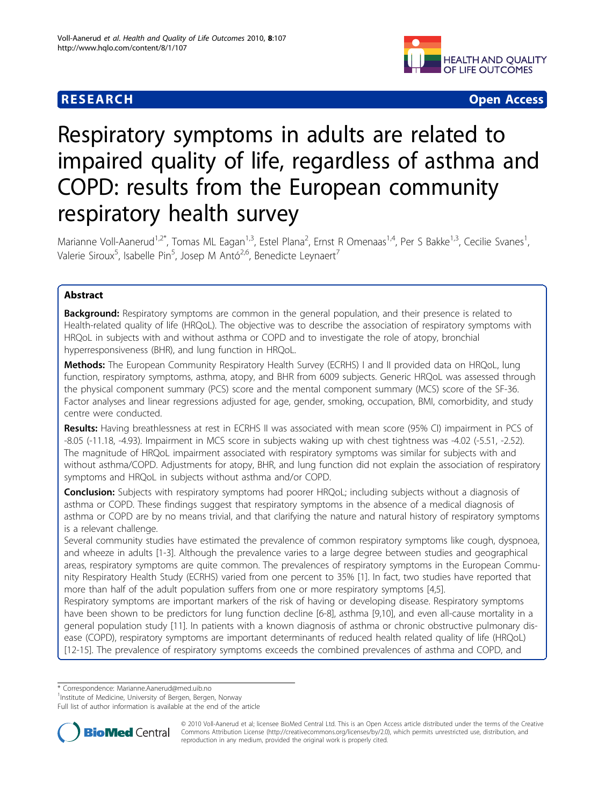# **RESEARCH CONSTRUCTION CONTROL**



# Respiratory symptoms in adults are related to impaired quality of life, regardless of asthma and COPD: results from the European community respiratory health survey

Marianne Voll-Aanerud<sup>1,2\*</sup>, Tomas ML Eagan<sup>1,3</sup>, Estel Plana<sup>2</sup>, Ernst R Omenaas<sup>1,4</sup>, Per S Bakke<sup>1,3</sup>, Cecilie Svanes<sup>1</sup> , Valerie Siroux<sup>5</sup>, Isabelle Pin<sup>5</sup>, Josep M Antó<sup>2,6</sup>, Benedicte Leynaert<sup>7</sup>

# Abstract

**Background:** Respiratory symptoms are common in the general population, and their presence is related to Health-related quality of life (HRQoL). The objective was to describe the association of respiratory symptoms with HRQoL in subjects with and without asthma or COPD and to investigate the role of atopy, bronchial hyperresponsiveness (BHR), and lung function in HRQoL.

Methods: The European Community Respiratory Health Survey (ECRHS) I and II provided data on HROoL, lung function, respiratory symptoms, asthma, atopy, and BHR from 6009 subjects. Generic HRQoL was assessed through the physical component summary (PCS) score and the mental component summary (MCS) score of the SF-36. Factor analyses and linear regressions adjusted for age, gender, smoking, occupation, BMI, comorbidity, and study centre were conducted.

Results: Having breathlessness at rest in ECRHS II was associated with mean score (95% CI) impairment in PCS of -8.05 (-11.18, -4.93). Impairment in MCS score in subjects waking up with chest tightness was -4.02 (-5.51, -2.52). The magnitude of HRQoL impairment associated with respiratory symptoms was similar for subjects with and without asthma/COPD. Adjustments for atopy, BHR, and lung function did not explain the association of respiratory symptoms and HRQoL in subjects without asthma and/or COPD.

**Conclusion:** Subjects with respiratory symptoms had poorer HRQoL; including subjects without a diagnosis of asthma or COPD. These findings suggest that respiratory symptoms in the absence of a medical diagnosis of asthma or COPD are by no means trivial, and that clarifying the nature and natural history of respiratory symptoms is a relevant challenge.

Several community studies have estimated the prevalence of common respiratory symptoms like cough, dyspnoea, and wheeze in adults [\[1-3\]](#page-7-0). Although the prevalence varies to a large degree between studies and geographical areas, respiratory symptoms are quite common. The prevalences of respiratory symptoms in the European Community Respiratory Health Study (ECRHS) varied from one percent to 35% [[1\]](#page-7-0). In fact, two studies have reported that more than half of the adult population suffers from one or more respiratory symptoms [\[4,5](#page-7-0)].

Respiratory symptoms are important markers of the risk of having or developing disease. Respiratory symptoms have been shown to be predictors for lung function decline [\[6-8\]](#page-7-0), asthma [\[9,10](#page-7-0)], and even all-cause mortality in a general population study [[11](#page-7-0)]. In patients with a known diagnosis of asthma or chronic obstructive pulmonary disease (COPD), respiratory symptoms are important determinants of reduced health related quality of life (HRQoL) [[12-15\]](#page-7-0). The prevalence of respiratory symptoms exceeds the combined prevalences of asthma and COPD, and

\* Correspondence: [Marianne.Aanerud@med.uib.no](mailto:Marianne.Aanerud@med.uib.no)

<sup>1</sup>Institute of Medicine, University of Bergen, Bergen, Norway

Full list of author information is available at the end of the article



© 2010 Voll-Aanerud et al; licensee BioMed Central Ltd. This is an Open Access article distributed under the terms of the Creative Commons Attribution License [\(http://creativecommons.org/licenses/by/2.0](http://creativecommons.org/licenses/by/2.0)), which permits unrestricted use, distribution, and reproduction in any medium, provided the original work is properly cited.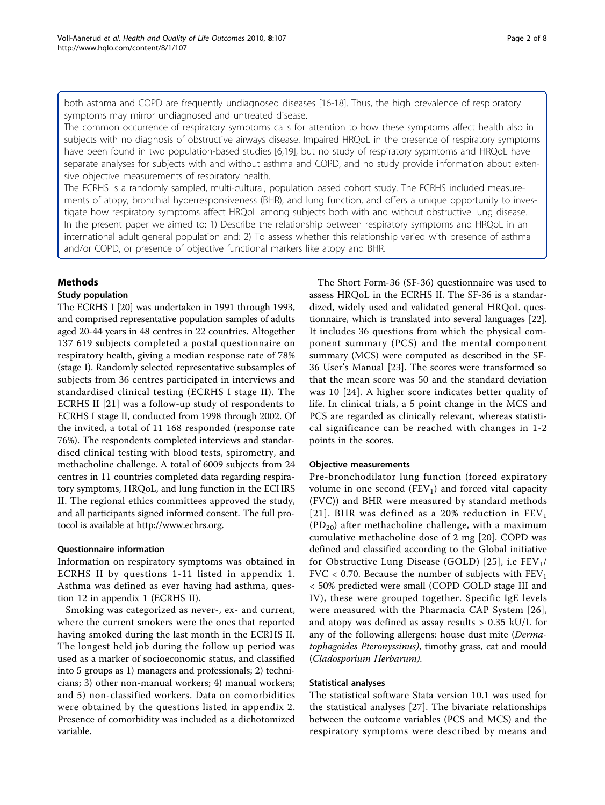both asthma and COPD are frequently undiagnosed diseases [[16-18\]](#page-7-0). Thus, the high prevalence of respipratory symptoms may mirror undiagnosed and untreated disease.

The common occurrence of respiratory symptoms calls for attention to how these symptoms affect health also in subjects with no diagnosis of obstructive airways disease. Impaired HRQoL in the presence of respiratory symptoms have been found in two population-based studies [[6,19\]](#page-7-0), but no study of respiratory sypmtoms and HRQoL have separate analyses for subjects with and without asthma and COPD, and no study provide information about extensive objective measurements of respiratory health.

The ECRHS is a randomly sampled, multi-cultural, population based cohort study. The ECRHS included measurements of atopy, bronchial hyperresponsiveness (BHR), and lung function, and offers a unique opportunity to investigate how respiratory symptoms affect HRQoL among subjects both with and without obstructive lung disease. In the present paper we aimed to: 1) Describe the relationship between respiratory symptoms and HRQoL in an international adult general population and: 2) To assess whether this relationship varied with presence of asthma and/or COPD, or presence of objective functional markers like atopy and BHR.

# Methods

# Study population

The ECRHS I [\[20](#page-7-0)] was undertaken in 1991 through 1993, and comprised representative population samples of adults aged 20-44 years in 48 centres in 22 countries. Altogether 137 619 subjects completed a postal questionnaire on respiratory health, giving a median response rate of 78% (stage I). Randomly selected representative subsamples of subjects from 36 centres participated in interviews and standardised clinical testing (ECRHS I stage II). The ECRHS II [\[21\]](#page-7-0) was a follow-up study of respondents to ECRHS I stage II, conducted from 1998 through 2002. Of the invited, a total of 11 168 responded (response rate 76%). The respondents completed interviews and standardised clinical testing with blood tests, spirometry, and methacholine challenge. A total of 6009 subjects from 24 centres in 11 countries completed data regarding respiratory symptoms, HRQoL, and lung function in the ECHRS II. The regional ethics committees approved the study, and all participants signed informed consent. The full protocol is available at<http://www.echrs.org>.

# Questionnaire information

Information on respiratory symptoms was obtained in ECRHS II by questions 1-11 listed in appendix 1. Asthma was defined as ever having had asthma, question 12 in appendix 1 (ECRHS II).

Smoking was categorized as never-, ex- and current, where the current smokers were the ones that reported having smoked during the last month in the ECRHS II. The longest held job during the follow up period was used as a marker of socioeconomic status, and classified into 5 groups as 1) managers and professionals; 2) technicians; 3) other non-manual workers; 4) manual workers; and 5) non-classified workers. Data on comorbidities were obtained by the questions listed in appendix 2. Presence of comorbidity was included as a dichotomized variable.

The Short Form-36 (SF-36) questionnaire was used to assess HRQoL in the ECRHS II. The SF-36 is a standardized, widely used and validated general HRQoL questionnaire, which is translated into several languages [[22](#page-7-0)]. It includes 36 questions from which the physical component summary (PCS) and the mental component summary (MCS) were computed as described in the SF-36 User's Manual [[23\]](#page-7-0). The scores were transformed so that the mean score was 50 and the standard deviation was 10 [[24](#page-7-0)]. A higher score indicates better quality of life. In clinical trials, a 5 point change in the MCS and PCS are regarded as clinically relevant, whereas statistical significance can be reached with changes in 1-2 points in the scores.

# Objective measurements

Pre-bronchodilator lung function (forced expiratory volume in one second  $(FEV_1)$  and forced vital capacity (FVC)) and BHR were measured by standard methods [[21](#page-7-0)]. BHR was defined as a 20% reduction in  $FEV<sub>1</sub>$  $(PD_{20})$  after methacholine challenge, with a maximum cumulative methacholine dose of 2 mg [\[20](#page-7-0)]. COPD was defined and classified according to the Global initiative for Obstructive Lung Disease (GOLD) [\[25\]](#page-7-0), i.e  $FEV<sub>1</sub>/$ FVC < 0.70. Because the number of subjects with  $FEV<sub>1</sub>$ < 50% predicted were small (COPD GOLD stage III and IV), these were grouped together. Specific IgE levels were measured with the Pharmacia CAP System [[26\]](#page-7-0), and atopy was defined as assay results > 0.35 kU/L for any of the following allergens: house dust mite (Dermatophagoides Pteronyssinus), timothy grass, cat and mould (Cladosporium Herbarum).

# Statistical analyses

The statistical software Stata version 10.1 was used for the statistical analyses [[27\]](#page-7-0). The bivariate relationships between the outcome variables (PCS and MCS) and the respiratory symptoms were described by means and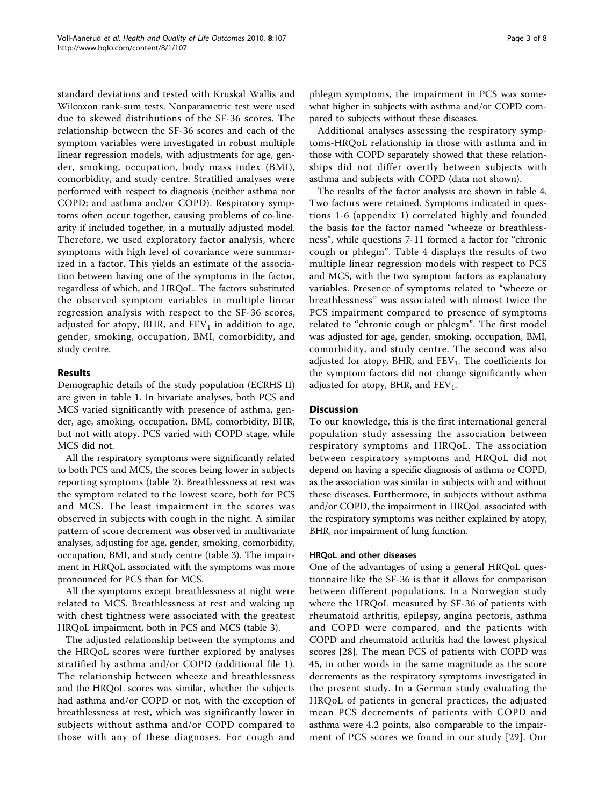standard deviations and tested with Kruskal Wallis and Wilcoxon rank-sum tests. Nonparametric test were used due to skewed distributions of the SF-36 scores. The relationship between the SF-36 scores and each of the symptom variables were investigated in robust multiple linear regression models, with adjustments for age, gender, smoking, occupation, body mass index (BMI), comorbidity, and study centre. Stratified analyses were performed with respect to diagnosis (neither asthma nor COPD; and asthma and/or COPD). Respiratory symptoms often occur together, causing problems of co-linearity if included together, in a mutually adjusted model. Therefore, we used exploratory factor analysis, where symptoms with high level of covariance were summarized in a factor. This yields an estimate of the association between having one of the symptoms in the factor, regardless of which, and HRQoL. The factors substituted the observed symptom variables in multiple linear regression analysis with respect to the SF-36 scores, adjusted for atopy, BHR, and  $FEV<sub>1</sub>$  in addition to age, gender, smoking, occupation, BMI, comorbidity, and study centre.

# Results

Demographic details of the study population (ECRHS II) are given in table [1](#page-3-0). In bivariate analyses, both PCS and MCS varied significantly with presence of asthma, gender, age, smoking, occupation, BMI, comorbidity, BHR, but not with atopy. PCS varied with COPD stage, while MCS did not.

All the respiratory symptoms were significantly related to both PCS and MCS, the scores being lower in subjects reporting symptoms (table [2](#page-4-0)). Breathlessness at rest was the symptom related to the lowest score, both for PCS and MCS. The least impairment in the scores was observed in subjects with cough in the night. A similar pattern of score decrement was observed in multivariate analyses, adjusting for age, gender, smoking, comorbidity, occupation, BMI, and study centre (table [3\)](#page-4-0). The impairment in HRQoL associated with the symptoms was more pronounced for PCS than for MCS.

All the symptoms except breathlessness at night were related to MCS. Breathlessness at rest and waking up with chest tightness were associated with the greatest HRQoL impairment, both in PCS and MCS (table [3\)](#page-4-0).

The adjusted relationship between the symptoms and the HRQoL scores were further explored by analyses stratified by asthma and/or COPD (additional file [1](#page-6-0)). The relationship between wheeze and breathlessness and the HRQoL scores was similar, whether the subjects had asthma and/or COPD or not, with the exception of breathlessness at rest, which was significantly lower in subjects without asthma and/or COPD compared to those with any of these diagnoses. For cough and phlegm symptoms, the impairment in PCS was somewhat higher in subjects with asthma and/or COPD compared to subjects without these diseases.

Additional analyses assessing the respiratory symptoms-HRQoL relationship in those with asthma and in those with COPD separately showed that these relationships did not differ overtly between subjects with asthma and subjects with COPD (data not shown).

The results of the factor analysis are shown in table [4](#page-5-0). Two factors were retained. Symptoms indicated in questions 1-6 (appendix 1) correlated highly and founded the basis for the factor named "wheeze or breathlessness", while questions 7-11 formed a factor for "chronic cough or phlegm". Table [4](#page-5-0) displays the results of two multiple linear regression models with respect to PCS and MCS, with the two symptom factors as explanatory variables. Presence of symptoms related to "wheeze or breathlessness" was associated with almost twice the PCS impairment compared to presence of symptoms related to "chronic cough or phlegm". The first model was adjusted for age, gender, smoking, occupation, BMI, comorbidity, and study centre. The second was also adjusted for atopy, BHR, and  $FEV_1$ . The coefficients for the symptom factors did not change significantly when adjusted for atopy, BHR, and  $FEV_1$ .

# **Discussion**

To our knowledge, this is the first international general population study assessing the association between respiratory symptoms and HRQoL. The association between respiratory symptoms and HRQoL did not depend on having a specific diagnosis of asthma or COPD, as the association was similar in subjects with and without these diseases. Furthermore, in subjects without asthma and/or COPD, the impairment in HRQoL associated with the respiratory symptoms was neither explained by atopy, BHR, nor impairment of lung function.

# HRQoL and other diseases

One of the advantages of using a general HRQoL questionnaire like the SF-36 is that it allows for comparison between different populations. In a Norwegian study where the HRQoL measured by SF-36 of patients with rheumatoid arthritis, epilepsy, angina pectoris, asthma and COPD were compared, and the patients with COPD and rheumatoid arthritis had the lowest physical scores [[28](#page-7-0)]. The mean PCS of patients with COPD was 45, in other words in the same magnitude as the score decrements as the respiratory symptoms investigated in the present study. In a German study evaluating the HRQoL of patients in general practices, the adjusted mean PCS decrements of patients with COPD and asthma were 4.2 points, also comparable to the impairment of PCS scores we found in our study [[29\]](#page-7-0). Our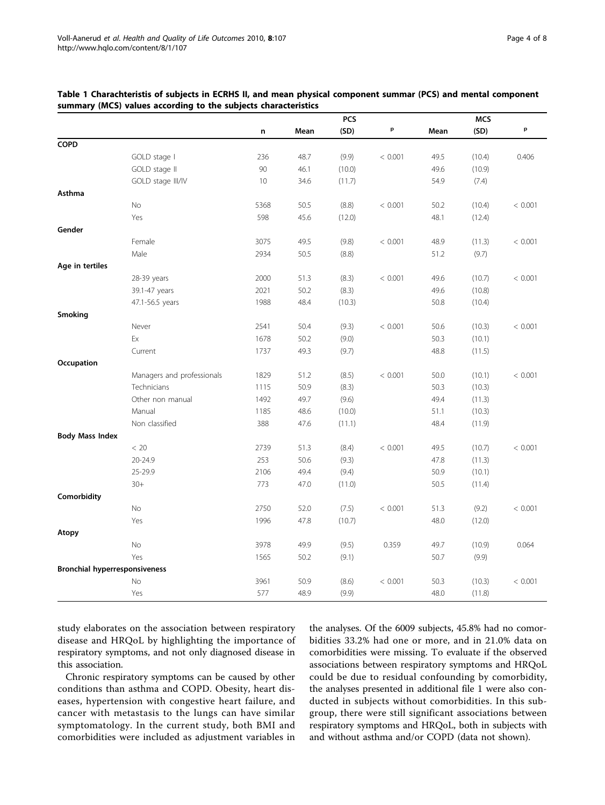|                                      |                            | PCS  |      |        |         | <b>MCS</b> |        |         |  |
|--------------------------------------|----------------------------|------|------|--------|---------|------------|--------|---------|--|
|                                      |                            | n    | Mean | (SD)   | p       | Mean       | (SD)   | p       |  |
| COPD                                 |                            |      |      |        |         |            |        |         |  |
|                                      | GOLD stage I               | 236  | 48.7 | (9.9)  | < 0.001 | 49.5       | (10.4) | 0.406   |  |
|                                      | GOLD stage II              | 90   | 46.1 | (10.0) |         | 49.6       | (10.9) |         |  |
|                                      | GOLD stage III/IV          | 10   | 34.6 | (11.7) |         | 54.9       | (7.4)  |         |  |
| Asthma                               |                            |      |      |        |         |            |        |         |  |
|                                      | No                         | 5368 | 50.5 | (8.8)  | < 0.001 | 50.2       | (10.4) | < 0.001 |  |
|                                      | Yes                        | 598  | 45.6 | (12.0) |         | 48.1       | (12.4) |         |  |
| Gender                               |                            |      |      |        |         |            |        |         |  |
|                                      | Female                     | 3075 | 49.5 | (9.8)  | < 0.001 | 48.9       | (11.3) | < 0.001 |  |
|                                      | Male                       | 2934 | 50.5 | (8.8)  |         | 51.2       | (9.7)  |         |  |
| Age in tertiles                      |                            |      |      |        |         |            |        |         |  |
|                                      | 28-39 years                | 2000 | 51.3 | (8.3)  | < 0.001 | 49.6       | (10.7) | < 0.001 |  |
|                                      | 39.1-47 years              | 2021 | 50.2 | (8.3)  |         | 49.6       | (10.8) |         |  |
|                                      | 47.1-56.5 years            | 1988 | 48.4 | (10.3) |         | 50.8       | (10.4) |         |  |
| Smoking                              |                            |      |      |        |         |            |        |         |  |
|                                      | Never                      | 2541 | 50.4 | (9.3)  | < 0.001 | 50.6       | (10.3) | < 0.001 |  |
|                                      | Ex                         | 1678 | 50.2 | (9.0)  |         | 50.3       | (10.1) |         |  |
|                                      | Current                    | 1737 | 49.3 | (9.7)  |         | 48.8       | (11.5) |         |  |
| Occupation                           |                            |      |      |        |         |            |        |         |  |
|                                      | Managers and professionals | 1829 | 51.2 | (8.5)  | < 0.001 | 50.0       | (10.1) | < 0.001 |  |
|                                      | Technicians                | 1115 | 50.9 | (8.3)  |         | 50.3       | (10.3) |         |  |
|                                      | Other non manual           | 1492 | 49.7 | (9.6)  |         | 49.4       | (11.3) |         |  |
|                                      | Manual                     | 1185 | 48.6 | (10.0) |         | 51.1       | (10.3) |         |  |
|                                      | Non classified             | 388  | 47.6 | (11.1) |         | 48.4       | (11.9) |         |  |
| <b>Body Mass Index</b>               |                            |      |      |        |         |            |        |         |  |
|                                      | < 20                       | 2739 | 51.3 | (8.4)  | < 0.001 | 49.5       | (10.7) | < 0.001 |  |
|                                      | 20-24.9                    | 253  | 50.6 | (9.3)  |         | 47.8       | (11.3) |         |  |
|                                      | 25-29.9                    | 2106 | 49.4 | (9.4)  |         | 50.9       | (10.1) |         |  |
|                                      | $30+$                      | 773  | 47.0 | (11.0) |         | 50.5       | (11.4) |         |  |
| Comorbidity                          |                            |      |      |        |         |            |        |         |  |
|                                      | No                         | 2750 | 52.0 | (7.5)  | < 0.001 | 51.3       | (9.2)  | < 0.001 |  |
|                                      | Yes                        | 1996 | 47.8 | (10.7) |         | 48.0       | (12.0) |         |  |
| Atopy                                |                            |      |      |        |         |            |        |         |  |
|                                      | No                         | 3978 | 49.9 | (9.5)  | 0.359   | 49.7       | (10.9) | 0.064   |  |
|                                      | Yes                        | 1565 | 50.2 | (9.1)  |         | 50.7       | (9.9)  |         |  |
| <b>Bronchial hyperresponsiveness</b> |                            |      |      |        |         |            |        |         |  |
|                                      | No                         | 3961 | 50.9 | (8.6)  | < 0.001 | 50.3       | (10.3) | < 0.001 |  |
|                                      | Yes                        | 577  | 48.9 | (9.9)  |         | 48.0       | (11.8) |         |  |

<span id="page-3-0"></span>

| Table 1 Charachteristis of subjects in ECRHS II, and mean physical component summar (PCS) and mental component |  |
|----------------------------------------------------------------------------------------------------------------|--|
| summary (MCS) values according to the subjects characteristics                                                 |  |

study elaborates on the association between respiratory disease and HRQoL by highlighting the importance of respiratory symptoms, and not only diagnosed disease in this association.

Chronic respiratory symptoms can be caused by other conditions than asthma and COPD. Obesity, heart diseases, hypertension with congestive heart failure, and cancer with metastasis to the lungs can have similar symptomatology. In the current study, both BMI and comorbidities were included as adjustment variables in

the analyses. Of the 6009 subjects, 45.8% had no comorbidities 33.2% had one or more, and in 21.0% data on comorbidities were missing. To evaluate if the observed associations between respiratory symptoms and HRQoL could be due to residual confounding by comorbidity, the analyses presented in additional file [1](#page-6-0) were also conducted in subjects without comorbidities. In this subgroup, there were still significant associations between respiratory symptoms and HRQoL, both in subjects with and without asthma and/or COPD (data not shown).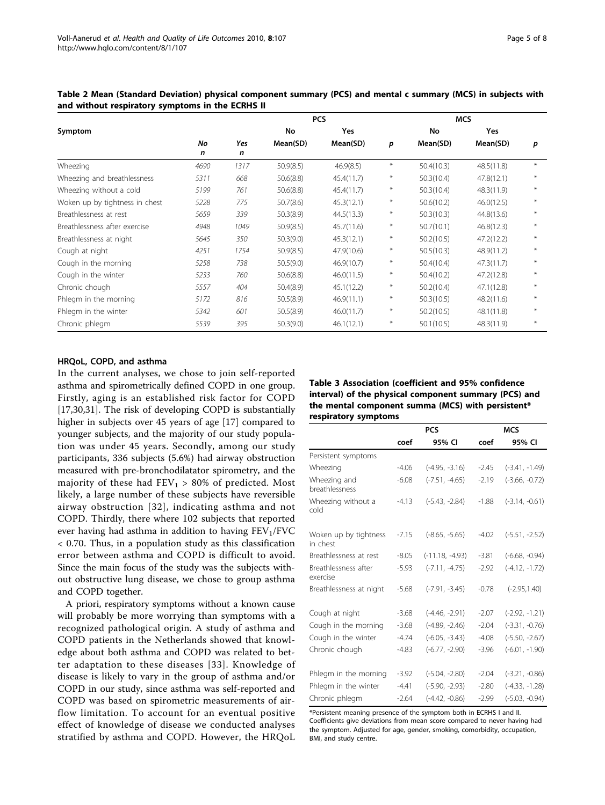|                                |      |      |           | <b>PCS</b> | <b>MCS</b> |            |            |        |
|--------------------------------|------|------|-----------|------------|------------|------------|------------|--------|
| Symptom                        |      |      | No        | Yes        |            | No         | <b>Yes</b> |        |
|                                | No   | Yes  | Mean(SD)  | Mean(SD)   | p          | Mean(SD)   | Mean(SD)   | p      |
|                                | n    | n    |           |            |            |            |            |        |
| Wheezing                       | 4690 | 1317 | 50.9(8.5) | 46.9(8.5)  | $\ast$     | 50.4(10.3) | 48.5(11.8) | $*$    |
| Wheezing and breathlessness    | 5311 | 668  | 50.6(8.8) | 45.4(11.7) | $\ast$     | 50.3(10.4) | 47.8(12.1) | ⋇      |
| Wheezing without a cold        | 5199 | 761  | 50.6(8.8) | 45.4(11.7) | $\ast$     | 50.3(10.4) | 48.3(11.9) | ⋇      |
| Woken up by tightness in chest | 5228 | 775  | 50.7(8.6) | 45.3(12.1) | $\ast$     | 50.6(10.2) | 46.0(12.5) | $\ast$ |
| Breathlessness at rest         | 5659 | 339  | 50.3(8.9) | 44.5(13.3) | $\ast$     | 50.3(10.3) | 44.8(13.6) | $\ast$ |
| Breathlessness after exercise  | 4948 | 1049 | 50.9(8.5) | 45.7(11.6) | $\ast$     | 50.7(10.1) | 46.8(12.3) | $\ast$ |
| Breathlessness at night        | 5645 | 350  | 50.3(9.0) | 45.3(12.1) | $\ast$     | 50.2(10.5) | 47.2(12.2) | $*$    |
| Cough at night                 | 4251 | 1754 | 50.9(8.5) | 47.9(10.6) | $\ast$     | 50.5(10.3) | 48.9(11.2) | $*$    |
| Cough in the morning           | 5258 | 738  | 50.5(9.0) | 46.9(10.7) | $\ast$     | 50.4(10.4) | 47.3(11.7) | $*$    |
| Cough in the winter            | 5233 | 760  | 50.6(8.8) | 46.0(11.5) | $\ast$     | 50.4(10.2) | 47.2(12.8) | $*$    |
| Chronic chough                 | 5557 | 404  | 50.4(8.9) | 45.1(12.2) | $\ast$     | 50.2(10.4) | 47.1(12.8) | $*$    |
| Phlegm in the morning          | 5172 | 816  | 50.5(8.9) | 46.9(11.1) | $\ast$     | 50.3(10.5) | 48.2(11.6) | ⋇      |
| Phlegm in the winter           | 5342 | 601  | 50.5(8.9) | 46.0(11.7) | $\ast$     | 50.2(10.5) | 48.1(11.8) | $*$    |
| Chronic phlegm                 | 5539 | 395  | 50.3(9.0) | 46.1(12.1) | $\ast$     | 50.1(10.5) | 48.3(11.9) | $*$    |

<span id="page-4-0"></span>Table 2 Mean (Standard Deviation) physical component summary (PCS) and mental c summary (MCS) in subjects with and without respiratory symptoms in the ECRHS II

#### HRQoL, COPD, and asthma

In the current analyses, we chose to join self-reported asthma and spirometrically defined COPD in one group. Firstly, aging is an established risk factor for COPD [[17,30,31\]](#page-7-0). The risk of developing COPD is substantially higher in subjects over 45 years of age [\[17\]](#page-7-0) compared to younger subjects, and the majority of our study population was under 45 years. Secondly, among our study participants, 336 subjects (5.6%) had airway obstruction measured with pre-bronchodilatator spirometry, and the majority of these had  $FEV_1 > 80\%$  of predicted. Most likely, a large number of these subjects have reversible airway obstruction [[32](#page-7-0)], indicating asthma and not COPD. Thirdly, there where 102 subjects that reported ever having had asthma in addition to having  $FEV<sub>1</sub>/FVC$ < 0.70. Thus, in a population study as this classification error between asthma and COPD is difficult to avoid. Since the main focus of the study was the subjects without obstructive lung disease, we chose to group asthma and COPD together.

A priori, respiratory symptoms without a known cause will probably be more worrying than symptoms with a recognized pathological origin. A study of asthma and COPD patients in the Netherlands showed that knowledge about both asthma and COPD was related to better adaptation to these diseases [[33\]](#page-7-0). Knowledge of disease is likely to vary in the group of asthma and/or COPD in our study, since asthma was self-reported and COPD was based on spirometric measurements of airflow limitation. To account for an eventual positive effect of knowledge of disease we conducted analyses stratified by asthma and COPD. However, the HRQoL Table 3 Association (coefficient and 95% confidence interval) of the physical component summary (PCS) and the mental component summa (MCS) with persistent\* respiratory symptoms

|                                   |         | <b>PCS</b>        | <b>MCS</b> |                  |  |
|-----------------------------------|---------|-------------------|------------|------------------|--|
|                                   | coef    | 95% CI            | coef       | 95% CI           |  |
| Persistent symptoms               |         |                   |            |                  |  |
| Wheezing                          | $-4.06$ | $(-4.95, -3.16)$  | $-2.45$    | $(-3.41, -1.49)$ |  |
| Wheezing and<br>breathlessness    | $-6.08$ | $(-7.51, -4.65)$  | $-2.19$    | $(-3.66, -0.72)$ |  |
| Wheezing without a<br>cold        | $-4.13$ | $(-5.43, -2.84)$  | $-1.88$    | $(-3.14, -0.61)$ |  |
| Woken up by tightness<br>in chest | $-7.15$ | $(-8.65, -5.65)$  | $-4.02$    | $(-5.51, -2.52)$ |  |
| Breathlessness at rest            | $-8.05$ | $(-11.18, -4.93)$ | $-3.81$    | $(-6.68, -0.94)$ |  |
| Breathlessness after<br>exercise  | $-5.93$ | $(-7.11, -4.75)$  | $-2.92$    | $(-4.12, -1.72)$ |  |
| Breathlessness at night           | $-5.68$ | $(-7.91, -3.45)$  | $-0.78$    | $(-2.95, 1.40)$  |  |
| Cough at night                    | $-3.68$ | $(-4.46, -2.91)$  | $-2.07$    | $(-2.92, -1.21)$ |  |
| Cough in the morning              | $-3.68$ | $(-4.89, -2.46)$  | $-2.04$    | $(-3.31, -0.76)$ |  |
| Cough in the winter               | $-4.74$ | $(-6.05, -3.43)$  | $-4.08$    | $(-5.50, -2.67)$ |  |
| Chronic chough                    | $-4.83$ | $(-6.77, -2.90)$  | $-3.96$    | $(-6.01, -1.90)$ |  |
| Phlegm in the morning             | $-3.92$ | $(-5.04, -2.80)$  | $-2.04$    | $(-3.21, -0.86)$ |  |
| Phlegm in the winter              | $-4.41$ | $(-5.90, -2.93)$  | $-2.80$    | $(-4.33, -1.28)$ |  |
| Chronic phlegm                    | $-2.64$ | $(-4.42, -0.86)$  | $-2.99$    | $(-5.03, -0.94)$ |  |

\*Persistent meaning presence of the symptom both in ECRHS I and II. Coefficients give deviations from mean score compared to never having had the symptom. Adjusted for age, gender, smoking, comorbidity, occupation, BMI, and study centre.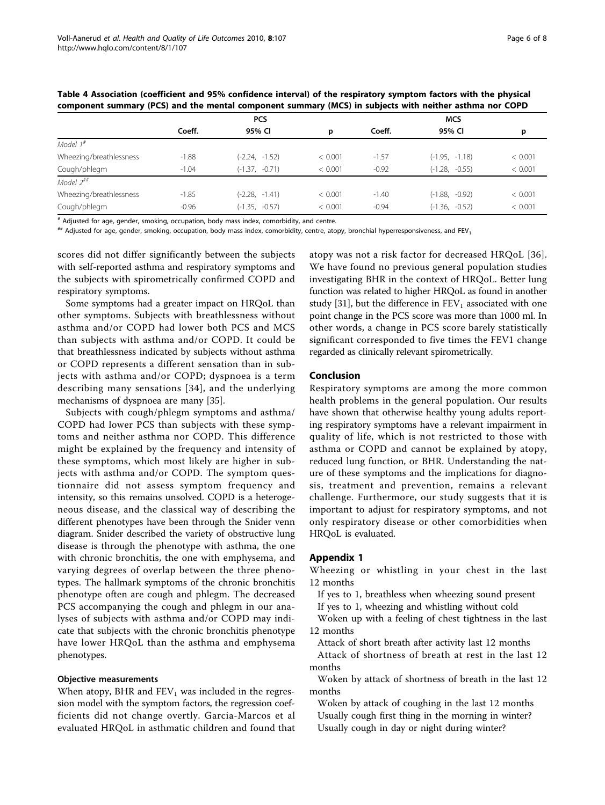|                         |         | <b>PCS</b>       |         | <b>MCS</b> |                  |         |  |
|-------------------------|---------|------------------|---------|------------|------------------|---------|--|
| Coeff.                  |         | 95% CI           | p       | Coeff.     | 95% CI           | р       |  |
| Model $1*$              |         |                  |         |            |                  |         |  |
| Wheezing/breathlessness | $-1.88$ | $(-2.24, -1.52)$ | < 0.001 | $-1.57$    | $(-1.95, -1.18)$ | < 0.001 |  |
| Cough/phlegm            | $-1.04$ | $(-1.37, -0.71)$ | < 0.001 | $-0.92$    | $(-1.28, -0.55)$ | < 0.001 |  |
| Model $2^{\# \#}$       |         |                  |         |            |                  |         |  |
| Wheezing/breathlessness | $-1.85$ | $(-2.28, -1.41)$ | < 0.001 | $-1.40$    | $(-1.88, -0.92)$ | < 0.001 |  |
| Cough/phlegm            | $-0.96$ | $(-1.35, -0.57)$ | < 0.001 | $-0.94$    | $(-1.36, -0.52)$ | < 0.001 |  |

<span id="page-5-0"></span>Table 4 Association (coefficient and 95% confidence interval) of the respiratory symptom factors with the physical component summary (PCS) and the mental component summary (MCS) in subjects with neither asthma nor COPD

# Adjusted for age, gender, smoking, occupation, body mass index, comorbidity, and centre.

## Adjusted for age, gender, smoking, occupation, body mass index, comorbidity, centre, atopy, bronchial hyperresponsiveness, and FEV1

scores did not differ significantly between the subjects with self-reported asthma and respiratory symptoms and the subjects with spirometrically confirmed COPD and respiratory symptoms.

Some symptoms had a greater impact on HRQoL than other symptoms. Subjects with breathlessness without asthma and/or COPD had lower both PCS and MCS than subjects with asthma and/or COPD. It could be that breathlessness indicated by subjects without asthma or COPD represents a different sensation than in subjects with asthma and/or COPD; dyspnoea is a term describing many sensations [[34](#page-7-0)], and the underlying mechanisms of dyspnoea are many [[35](#page-7-0)].

Subjects with cough/phlegm symptoms and asthma/ COPD had lower PCS than subjects with these symptoms and neither asthma nor COPD. This difference might be explained by the frequency and intensity of these symptoms, which most likely are higher in subjects with asthma and/or COPD. The symptom questionnaire did not assess symptom frequency and intensity, so this remains unsolved. COPD is a heterogeneous disease, and the classical way of describing the different phenotypes have been through the Snider venn diagram. Snider described the variety of obstructive lung disease is through the phenotype with asthma, the one with chronic bronchitis, the one with emphysema, and varying degrees of overlap between the three phenotypes. The hallmark symptoms of the chronic bronchitis phenotype often are cough and phlegm. The decreased PCS accompanying the cough and phlegm in our analyses of subjects with asthma and/or COPD may indicate that subjects with the chronic bronchitis phenotype have lower HRQoL than the asthma and emphysema phenotypes.

#### Objective measurements

When atopy, BHR and  $FEV<sub>1</sub>$  was included in the regression model with the symptom factors, the regression coefficients did not change overtly. Garcia-Marcos et al evaluated HRQoL in asthmatic children and found that atopy was not a risk factor for decreased HRQoL [[36](#page-7-0)]. We have found no previous general population studies investigating BHR in the context of HRQoL. Better lung function was related to higher HRQoL as found in another study [\[31](#page-7-0)], but the difference in  $FEV<sub>1</sub>$  associated with one point change in the PCS score was more than 1000 ml. In other words, a change in PCS score barely statistically significant corresponded to five times the FEV1 change regarded as clinically relevant spirometrically.

#### Conclusion

Respiratory symptoms are among the more common health problems in the general population. Our results have shown that otherwise healthy young adults reporting respiratory symptoms have a relevant impairment in quality of life, which is not restricted to those with asthma or COPD and cannot be explained by atopy, reduced lung function, or BHR. Understanding the nature of these symptoms and the implications for diagnosis, treatment and prevention, remains a relevant challenge. Furthermore, our study suggests that it is important to adjust for respiratory symptoms, and not only respiratory disease or other comorbidities when HRQoL is evaluated.

### Appendix 1

Wheezing or whistling in your chest in the last 12 months

If yes to 1, breathless when wheezing sound present If yes to 1, wheezing and whistling without cold

Woken up with a feeling of chest tightness in the last 12 months

Attack of short breath after activity last 12 months

Attack of shortness of breath at rest in the last 12 months

Woken by attack of shortness of breath in the last 12 months

Woken by attack of coughing in the last 12 months Usually cough first thing in the morning in winter? Usually cough in day or night during winter?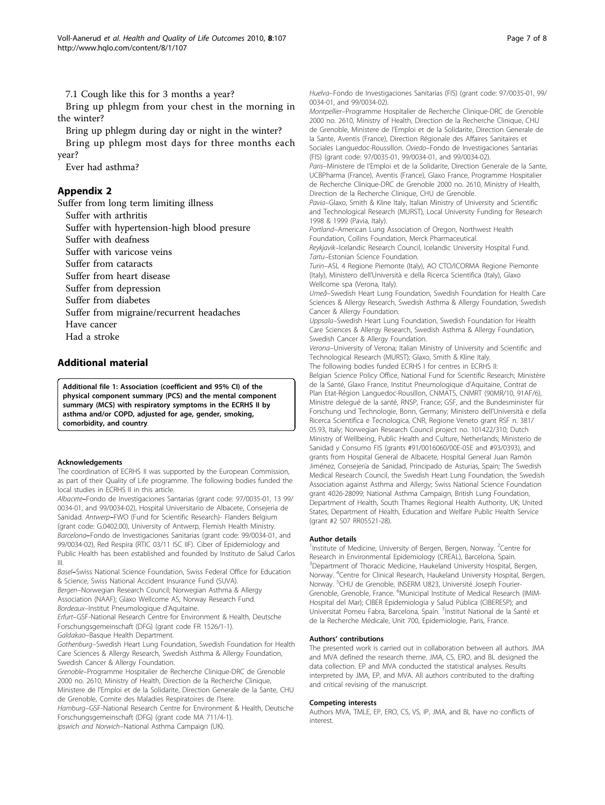<span id="page-6-0"></span>7.1 Cough like this for 3 months a year?

Bring up phlegm from your chest in the morning in the winter?

Bring up phlegm during day or night in the winter?

Bring up phlegm most days for three months each year?

Ever had asthma?

# Appendix 2

Suffer from long term limiting illness

Suffer with arthritis

Suffer with hypertension-high blood presure

Suffer with deafness

Suffer with varicose veins

Suffer from cataracts

Suffer from heart disease

Suffer from depression

Suffer from diabetes

Suffer from migraine/recurrent headaches

Have cancer

Had a stroke

# Additional material

[Additional file 1: A](http://www.biomedcentral.com/content/supplementary/1477-7525-8-107-S1.DOC)ssociation (coefficient and 95% CI) of the physical component summary (PCS) and the mental component summary (MCS) with respiratory symptoms in the ECRHS II by asthma and/or COPD, adjusted for age, gender, smoking, comorbidity, and country.

#### Acknowledgements

The coordination of ECRHS II was supported by the European Commission, as part of their Quality of Life programme. The following bodies funded the local studies in ECRHS II in this article.

Albacete–Fondo de Investigaciones Santarias (grant code: 97/0035-01, 13 99/ 0034-01, and 99/0034-02), Hospital Universitario de Albacete, Consejeria de Sanidad. Antwerp–FWO (Fund for Scientific Research)- Flanders Belgium (grant code: G.0402.00), University of Antwerp, Flemish Health Ministry. Barcelona–Fondo de Investigaciones Sanitarias (grant code: 99/0034-01, and 99/0034-02), Red Respira (RTIC 03/11 ISC IIF). Ciber of Epidemiology and Public Health has been established and founded by Instituto de Salud Carlos III.

Basel–Swiss National Science Foundation, Swiss Federal Office for Education & Science, Swiss National Accident Insurance Fund (SUVA).

Bergen–Norwegian Research Council; Norwegian Asthma & Allergy Association (NAAF); Glaxo Wellcome AS, Norway Research Fund. Bordeaux–Institut Pneumologique d'Aquitaine.

Erfurt–GSF-National Research Centre for Environment & Health, Deutsche Forschungsgemeinschaft (DFG) (grant code FR 1526/1-1).

Galdakao–Basque Health Department.

Gothenburg–Swedish Heart Lung Foundation, Swedish Foundation for Health Care Sciences & Allergy Research, Swedish Asthma & Allergy Foundation, Swedish Cancer & Allergy Foundation.

Grenoble–Programme Hospitalier de Recherche Clinique-DRC de Grenoble 2000 no. 2610, Ministry of Health, Direction de la Recherche Clinique, Ministere de l'Emploi et de la Solidarite, Direction Generale de la Sante, CHU de Grenoble, Comite des Maladies Respiratoires de l'Isere.

Hamburg–GSF-National Research Centre for Environment & Health, Deutsche Forschungsgemeinschaft (DFG) (grant code MA 711/4-1).

Ipswich and Norwich–National Asthma Campaign (UK).

Huelva–Fondo de Investigaciones Sanitarias (FIS) (grant code: 97/0035-01, 99/ 0034-01, and 99/0034-02).

Montpellier–Programme Hospitalier de Recherche Clinique-DRC de Grenoble 2000 no. 2610, Ministry of Health, Direction de la Recherche Clinique, CHU de Grenoble, Ministere de l'Emploi et de la Solidarite, Direction Generale de la Sante, Aventis (France), Direction Régionale des Affaires Sanitaires et Sociales Languedoc-Roussillon. Oviedo–Fondo de Investigaciones Santarias (FIS) (grant code: 97/0035-01, 99/0034-01, and 99/0034-02).

Paris–Ministere de l'Emploi et de la Solidarite, Direction Generale de la Sante, UCBPharma (France), Aventis (France), Glaxo France, Programme Hospitalier de Recherche Clinique-DRC de Grenoble 2000 no. 2610, Ministry of Health, Direction de la Recherche Clinique, CHU de Grenoble.

Pavia-Glaxo, Smith & Kline Italy, Italian Ministry of University and Scientific and Technological Research (MURST), Local University Funding for Research 1998 & 1999 (Pavia, Italy).

Portland–American Lung Association of Oregon, Northwest Health Foundation, Collins Foundation, Merck Pharmaceutical.

Reykjavik–Icelandic Research Council, Icelandic University Hospital Fund. Tartu–Estonian Science Foundation.

Turin–ASL 4 Regione Piemonte (Italy), AO CTO/ICORMA Regione Piemonte (Italy), Ministero dell'Università e della Ricerca Scientifica (Italy), Glaxo Wellcome spa (Verona, Italy).

Umeå–Swedish Heart Lung Foundation, Swedish Foundation for Health Care Sciences & Allergy Research, Swedish Asthma & Allergy Foundation, Swedish Cancer & Allergy Foundation.

Uppsala–Swedish Heart Lung Foundation, Swedish Foundation for Health Care Sciences & Allergy Research, Swedish Asthma & Allergy Foundation, Swedish Cancer & Allergy Foundation.

Verona–University of Verona; Italian Ministry of University and Scientific and Technological Research (MURST); Glaxo, Smith & Kline Italy.

The following bodies funded ECRHS I for centres in ECRHS II: Belgian Science Policy Office, National Fund for Scientific Research; Ministère de la Santé, Glaxo France, Institut Pneumologique d'Aquitaine, Contrat de Plan Etat-Région Languedoc-Rousillon, CNMATS, CNMRT (90MR/10, 91AF/6), Ministre delegué de la santé, RNSP, France; GSF, and the Bundesminister für Forschung und Technologie, Bonn, Germany; Ministero dell'Università e della Ricerca Scientifica e Tecnologica, CNR, Regione Veneto grant RSF n. 381/ 05.93, Italy; Norwegian Research Council project no. 101422/310; Dutch Ministry of Wellbeing, Public Health and Culture, Netherlands; Ministerio de Sanidad y Consumo FIS (grants #91/0016060/00E-05E and #93/0393), and grants from Hospital General de Albacete, Hospital General Juan Ramón Jiménez, Consejería de Sanidad, Principado de Asturias, Spain; The Swedish Medical Research Council, the Swedish Heart Lung Foundation, the Swedish Association against Asthma and Allergy; Swiss National Science Foundation grant 4026-28099; National Asthma Campaign, British Lung Foundation, Department of Health, South Thames Regional Health Authority, UK; United States, Department of Health, Education and Welfare Public Health Service (grant #2 S07 RR05521-28).

#### Author details

<sup>1</sup>Institute of Medicine, University of Bergen, Bergen, Norway. <sup>2</sup>Centre for Research in Environmental Epidemiology (CREAL), Barcelona, Spain. <sup>3</sup>Department of Thoracic Medicine, Haukeland University Hospital, Bergen, Norway. <sup>4</sup> Centre for Clinical Research, Haukeland University Hospital, Bergen, Norway. <sup>5</sup>CHU de Grenoble, INSERM U823, Université Joseph Fourier-Grenoble, Grenoble, France. <sup>6</sup>Municipal Institute of Medical Research (IMIM-Hospital del Mar); CIBER Epidemiologia y Salud Pública (CIBERESP); and Universitat Pomeu Fabra, Barcelona, Spain. <sup>7</sup>Institut National de la Santé et de la Recherche Médicale, Unit 700, Epidemiologie, Paris, France.

#### Authors' contributions

The presented work is carried out in collaboration between all authors. JMA and MVA defined the research theme. JMA, CS, ERO, and BL designed the data collection. EP and MVA conducted the statistical analyses. Results interpreted by JMA, EP, and MVA. All authors contributed to the drafting and critical revising of the manuscript.

#### Competing interests

Authors MVA, TMLE, EP, ERO, CS, VS, IP, JMA, and BL have no conflicts of interest.